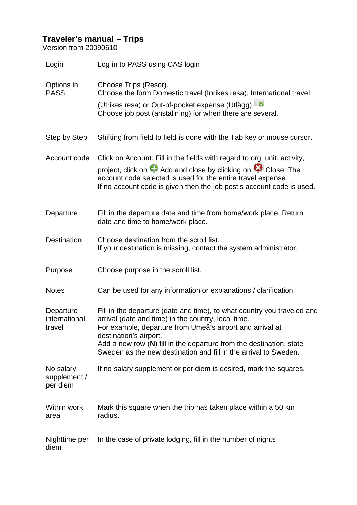## **Traveler's manual – Trips**

Version from 20090610

| Login                                 | Log in to PASS using CAS login                                                                                                                                                                                                                                                                                                                                     |
|---------------------------------------|--------------------------------------------------------------------------------------------------------------------------------------------------------------------------------------------------------------------------------------------------------------------------------------------------------------------------------------------------------------------|
| Options in<br><b>PASS</b>             | Choose Trips (Resor).<br>Choose the form Domestic travel (Inrikes resa), International travel<br>(Utrikes resa) or Out-of-pocket expense (Utlägg)<br>Choose job post (anställning) for when there are several.                                                                                                                                                     |
| Step by Step                          | Shifting from field to field is done with the Tab key or mouse cursor.                                                                                                                                                                                                                                                                                             |
| Account code                          | Click on Account. Fill in the fields with regard to org. unit, activity,<br>project, click on $\bullet$ Add and close by clicking on $\bullet$ Close. The<br>account code selected is used for the entire travel expense.<br>If no account code is given then the job post's account code is used.                                                                 |
| Departure                             | Fill in the departure date and time from home/work place. Return<br>date and time to home/work place.                                                                                                                                                                                                                                                              |
| <b>Destination</b>                    | Choose destination from the scroll list.<br>If your destination is missing, contact the system administrator.                                                                                                                                                                                                                                                      |
| Purpose                               | Choose purpose in the scroll list.                                                                                                                                                                                                                                                                                                                                 |
| <b>Notes</b>                          | Can be used for any information or explanations / clarification.                                                                                                                                                                                                                                                                                                   |
| Departure<br>international<br>travel  | Fill in the departure (date and time), to what country you traveled and<br>arrival (date and time) in the country, local time.<br>For example, departure from Umeå's airport and arrival at<br>destination's airport.<br>Add a new row $(N)$ fill in the departure from the destination, state<br>Sweden as the new destination and fill in the arrival to Sweden. |
| No salary<br>supplement /<br>per diem | If no salary supplement or per diem is desired, mark the squares.                                                                                                                                                                                                                                                                                                  |
| Within work<br>area                   | Mark this square when the trip has taken place within a 50 km<br>radius.                                                                                                                                                                                                                                                                                           |
| Nighttime per<br>diem                 | In the case of private lodging, fill in the number of nights.                                                                                                                                                                                                                                                                                                      |